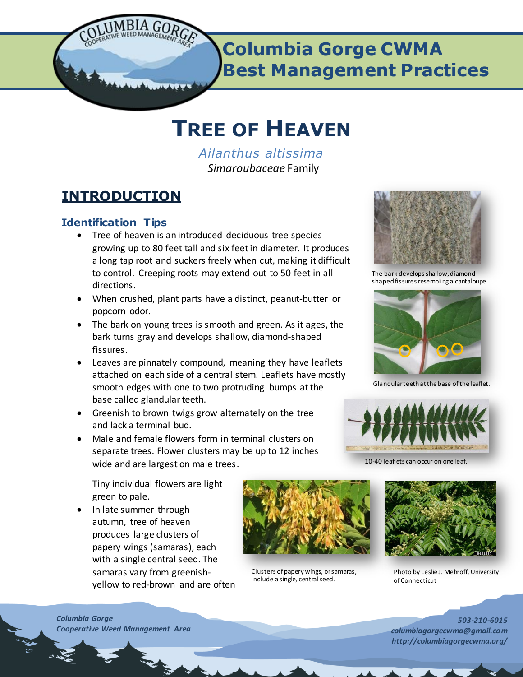

# **Columbia Gorge CWMA Best Management Practices**

# **TREE OF HEAVEN**

*Ailanthus altissima Simaroubaceae* Family

# **INTRODUCTION**

# **Identification Tips**

- Tree of heaven is an introduced deciduous tree species growing up to 80 feet tall and six feet in diameter. It produces a long tap root and suckers freely when cut, making it difficult to control. Creeping roots may extend out to 50 feet in all directions.
- When crushed, plant parts have a distinct, peanut-butter or popcorn odor.
- The bark on young trees is smooth and green. As it ages, the bark turns gray and develops shallow, diamond-shaped fissures.
- Leaves are pinnately compound, meaning they have leaflets attached on each side of a central stem. Leaflets have mostly smooth edges with one to two protruding bumps at the base called glandular teeth.
- Greenish to brown twigs grow alternately on the tree and lack a terminal bud.
- Male and female flowers form in terminal clusters on separate trees. Flower clusters may be up to 12 inches wide and are largest on male trees.

Tiny individual flowers are light green to pale.

• In late summer through autumn, tree of heaven produces large clusters of papery wings (samaras), each with a single central seed. The samaras vary from greenishyellow to red-brown and are often



Clusters of papery wings, or samaras, include a single, central seed.



The bark develops shallow, diamondshaped fissures resembling a cantaloupe.



Glandular teeth at the base of the leaflet.



10-40 leaflets can occur on one leaf



Photo by Leslie J. Mehroff, University of Connecticut

*503-210-6015 columbiagorgecwma@gmail.com http://columbiagorgecwma.org/*

*Columbia Gorge Cooperative Weed Management Area*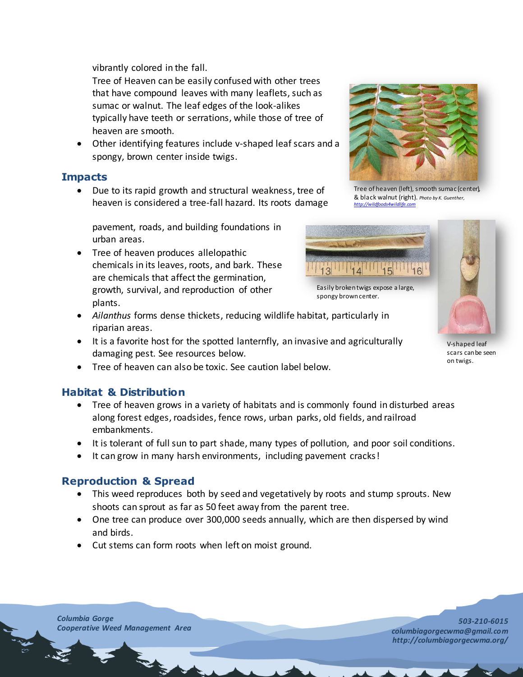vibrantly colored in the fall.

Tree of Heaven can be easily confused with other trees that have compound leaves with many leaflets, such as sumac or walnut. The leaf edges of the look-alikes typically have teeth or serrations, while those of tree of heaven are smooth.

 Other identifying features include v-shaped leaf scars and a spongy, brown center inside twigs.

# **Impacts**

 Due to its rapid growth and structural weakness, tree of heaven is considered a tree-fall hazard. Its roots damage

pavement, roads, and building foundations in urban areas.

- Tree of heaven produces allelopathic chemicals in its leaves, roots, and bark. These are chemicals that affect the germination, growth, survival, and reproduction of other plants.
- *Ailanthus* forms dense thickets, reducing wildlife habitat, particularly in riparian areas.
- It is a favorite host for the spotted lanternfly, an invasive and agriculturally damaging pest. See resources below.
- Tree of heaven can also be toxic. See caution label below.

# **Habitat & Distribution**

- Tree of heaven grows in a variety of habitats and is commonly found in disturbed areas along forest edges, roadsides, fence rows, urban parks, old fields, and railroad embankments.
- It is tolerant of full sun to part shade, many types of pollution, and poor soil conditions.
- It can grow in many harsh environments, including pavement cracks!

# **Reproduction & Spread**

- This weed reproduces both by seed and vegetatively by roots and stump sprouts. New shoots can sprout as far as 50 feet away from the parent tree.
- One tree can produce over 300,000 seeds annually, which are then dispersed by wind and birds.
- Cut stems can form roots when left on moist ground.



Tree of heaven (left), smooth sumac (center), & black walnut (right). *Photo by K. Guenther, [http://wildfoods4wildlife.com](http://wildfoods4wildlife.com/)*



Easily broken twigs expose a large, spongy brown center.



scars can be seen on twigs.

*Columbia Gorge Cooperative Weed Management Area*

 $\mathbf{r}$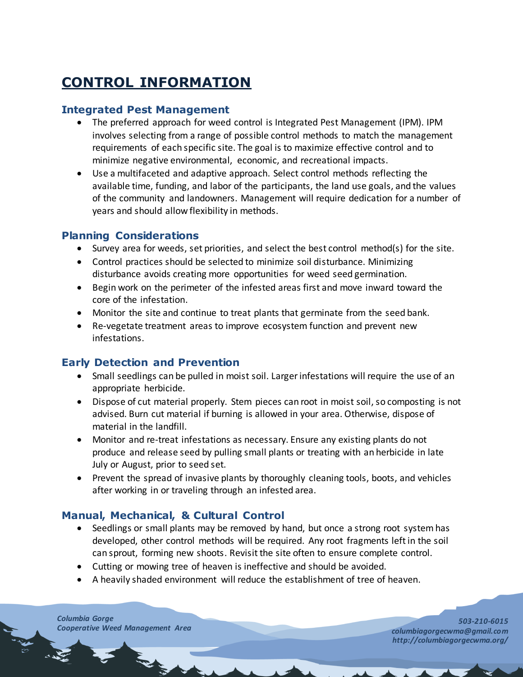# **CONTROL INFORMATION**

# **Integrated Pest Management**

- The preferred approach for weed control is Integrated Pest Management (IPM). IPM involves selecting from a range of possible control methods to match the management requirements of each specific site. The goal is to maximize effective control and to minimize negative environmental, economic, and recreational impacts.
- Use a multifaceted and adaptive approach. Select control methods reflecting the available time, funding, and labor of the participants, the land use goals, and the values of the community and landowners. Management will require dedication for a number of years and should allow flexibility in methods.

# **Planning Considerations**

- Survey area for weeds, set priorities, and select the best control method(s) for the site.
- Control practices should be selected to minimize soil disturbance. Minimizing disturbance avoids creating more opportunities for weed seed germination.
- Begin work on the perimeter of the infested areas first and move inward toward the core of the infestation.
- Monitor the site and continue to treat plants that germinate from the seed bank.
- Re-vegetate treatment areas to improve ecosystem function and prevent new infestations.

# **Early Detection and Prevention**

- Small seedlings can be pulled in moist soil. Larger infestations will require the use of an appropriate herbicide.
- Dispose of cut material properly. Stem pieces can root in moist soil, so composting is not advised. Burn cut material if burning is allowed in your area. Otherwise, dispose of material in the landfill.
- Monitor and re-treat infestations as necessary. Ensure any existing plants do not produce and release seed by pulling small plants or treating with an herbicide in late July or August, prior to seed set.
- Prevent the spread of invasive plants by thoroughly cleaning tools, boots, and vehicles after working in or traveling through an infested area.

# **Manual, Mechanical, & Cultural Control**

- Seedlings or small plants may be removed by hand, but once a strong root system has developed, other control methods will be required. Any root fragments left in the soil can sprout, forming new shoots. Revisit the site often to ensure complete control.
- Cutting or mowing tree of heaven is ineffective and should be avoided.
- A heavily shaded environment will reduce the establishment of tree of heaven.

*Columbia Gorge* **Cooperative Weed Management Area**<br> **Cooperative Weed Management Area**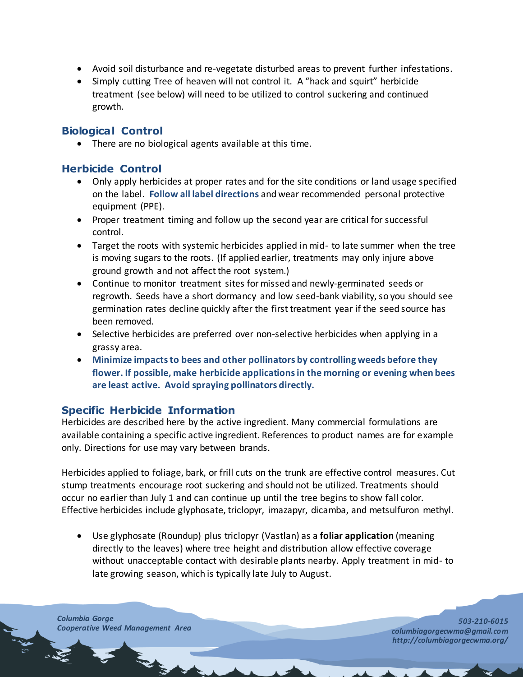- Avoid soil disturbance and re-vegetate disturbed areas to prevent further infestations.
- Simply cutting Tree of heaven will not control it. A "hack and squirt" herbicide treatment (see below) will need to be utilized to control suckering and continued growth.

# **Biological Control**

• There are no biological agents available at this time.

# **Herbicide Control**

- Only apply herbicides at proper rates and for the site conditions or land usage specified on the label. **Follow all label directions** and wear recommended personal protective equipment (PPE).
- Proper treatment timing and follow up the second year are critical for successful control.
- Target the roots with systemic herbicides applied in mid- to late summer when the tree is moving sugars to the roots. (If applied earlier, treatments may only injure above ground growth and not affect the root system.)
- Continue to monitor treatment sites for missed and newly-germinated seeds or regrowth. Seeds have a short dormancy and low seed-bank viability, so you should see germination rates decline quickly after the first treatment year if the seed source has been removed.
- Selective herbicides are preferred over non-selective herbicides when applying in a grassy area.
- **Minimize impacts to bees and other pollinators by controlling weeds before they flower. If possible, make herbicide applications in the morning or evening when bees are least active. Avoid spraying pollinators directly.**

## **Specific Herbicide Information**

Herbicides are described here by the active ingredient. Many commercial formulations are available containing a specific active ingredient. References to product names are for example only. Directions for use may vary between brands.

Herbicides applied to foliage, bark, or frill cuts on the trunk are effective control measures. Cut stump treatments encourage root suckering and should not be utilized. Treatments should occur no earlier than July 1 and can continue up until the tree begins to show fall color. Effective herbicides include glyphosate, triclopyr, imazapyr, dicamba, and metsulfuron methyl.

 Use glyphosate (Roundup) plus triclopyr (Vastlan) as a **foliar application** (meaning directly to the leaves) where tree height and distribution allow effective coverage without unacceptable contact with desirable plants nearby. Apply treatment in mid- to late growing season, which is typically late July to August.

*Columbia Gorge Cooperative Weed Management Area*

300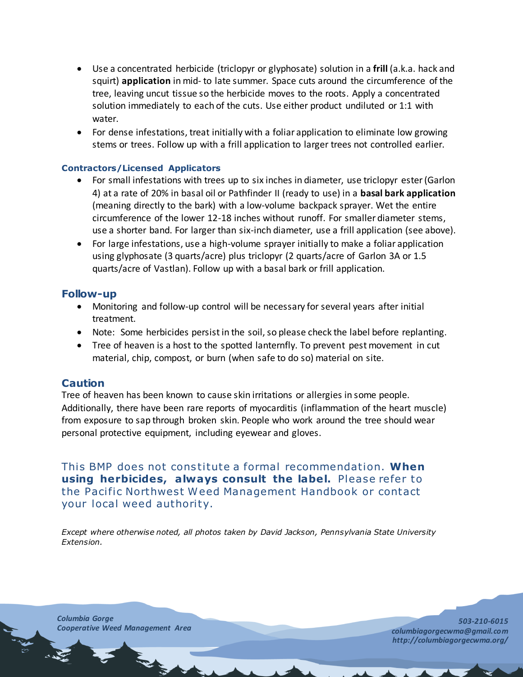- Use a concentrated herbicide (triclopyr or glyphosate) solution in a **frill** (a.k.a. hack and squirt) **application** in mid- to late summer. Space cuts around the circumference of the tree, leaving uncut tissue so the herbicide moves to the roots. Apply a concentrated solution immediately to each of the cuts. Use either product undiluted or 1:1 with water.
- For dense infestations, treat initially with a foliar application to eliminate low growing stems or trees. Follow up with a frill application to larger trees not controlled earlier.

#### **Contractors/Licensed Applicators**

- For small infestations with trees up to six inches in diameter, use triclopyr ester (Garlon 4) at a rate of 20% in basal oil or Pathfinder II (ready to use) in a **basal bark application** (meaning directly to the bark) with a low-volume backpack sprayer. Wet the entire circumference of the lower 12-18 inches without runoff. For smaller diameter stems, use a shorter band. For larger than six-inch diameter, use a frill application (see above).
- For large infestations, use a high-volume sprayer initially to make a foliar application using glyphosate (3 quarts/acre) plus triclopyr (2 quarts/acre of Garlon 3A or 1.5 quarts/acre of Vastlan). Follow up with a basal bark or frill application.

#### **Follow-up**

- Monitoring and follow-up control will be necessary for several years after initial treatment.
- Note: Some herbicides persist in the soil, so please check the label before replanting.
- Tree of heaven is a host to the spotted lanternfly. To prevent pest movement in cut material, chip, compost, or burn (when safe to do so) material on site.

## **Caution**

Tree of heaven has been known to cause skin irritations or allergies in some people. Additionally, there have been rare reports of myocarditis (inflammation of the heart muscle) from exposure to sap through broken skin. People who work around the tree should wear personal protective equipment, including eyewear and gloves.

This BMP does not constitute a formal recommendation. When **using herbicides, always consult the label.** Please refer to the Pacific Northwest Weed Management Handbook or contact your [local](http://www.nwcb.wa.gov/nwcb_county.htm) weed authority.

*Except where otherwise noted, all photos taken by David Jackson, Pennsylvania State University Extension.* 

*Columbia Gorge Cooperative Weed Management Area*

**CALL CONTROL** 

**CONTRACTOR**